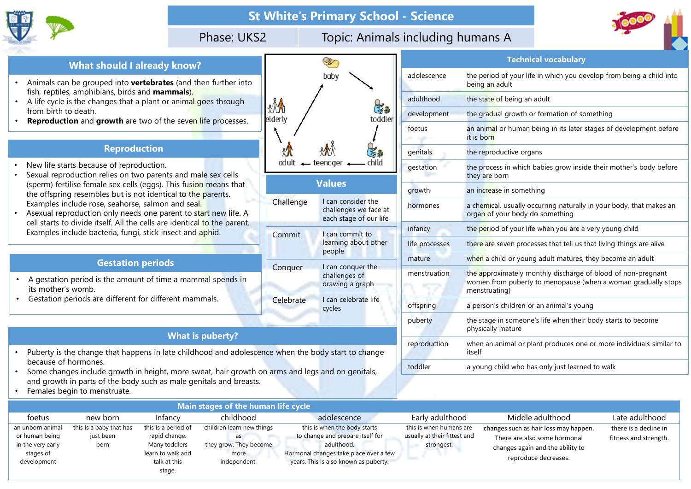



- Animals can be grouped into vertebrates (and then further into fish, reptiles, amphibians, birds and **mammals**).<br>• A life cycle is the changes that a plant or animal goes through
- from birth to death.
- Reproduction and growth are two of the seven life processes.

## Reproduction

- New life starts because of reproduction.
- Sexual reproduction relies on two parents and male sex cells (sperm) fertilise female sex cells (eggs). This fusion means that the offspring resembles but is not identical to the parents. Examples include rose, seahorse, salmon and seal.
- Asexual reproduction only needs one parent to start new life. A cell starts to divide itself. All the cells are identical to the parent. Examples include bacteria, fungi, stick insect and aphid.

- its mother's womb.
- Gestation periods are different for different mammals.

- Puberty is the change that happens in late childhood and adolescence when the body start to change because of hormones.
- Some changes include growth in height, more sweat, hair growth on arms and legs and on genitals, and growth in parts of the body such as male genitals and breasts.
- Females begin to menstruate.

|                                                                                                                                       |                         |               | <b>St White's Primary School - Science</b>                            |                |                                                   |
|---------------------------------------------------------------------------------------------------------------------------------------|-------------------------|---------------|-----------------------------------------------------------------------|----------------|---------------------------------------------------|
|                                                                                                                                       | Phase: UKS2             |               | Topic: Animals including humans A                                     |                |                                                   |
| <b>What should I already know?</b>                                                                                                    |                         |               | B                                                                     |                | Te                                                |
| Animals can be grouped into <b>vertebrates</b> (and then further into                                                                 |                         |               | baby                                                                  | adolescence    | the period of yo<br>being an adult                |
| fish, reptiles, amphibians, birds and mammals).<br>A life cycle is the changes that a plant or animal goes through                    |                         |               |                                                                       | adulthood      | the state of beir                                 |
| from birth to death.                                                                                                                  |                         | *M<br>elderly | 忠<br>toddler                                                          | development    | the gradual gro                                   |
| <b>Reproduction</b> and growth are two of the seven life processes.                                                                   |                         |               |                                                                       | foetus         | an animal or hu<br>it is born                     |
| <b>Reproduction</b>                                                                                                                   |                         |               | $S_{\mathbf{a}}$                                                      | genitals       | the reproductive                                  |
| New life starts because of reproduction.<br>Sexual reproduction relies on two parents and male sex cells                              |                         | adult         | child<br>$\leftarrow$ teenager                                        | gestation      | the process in w<br>they are born                 |
| (sperm) fertilise female sex cells (eggs). This fusion means that<br>the offspring resembles but is not identical to the parents.     |                         |               | <b>Values</b>                                                         | growth         | an increase in so                                 |
| Examples include rose, seahorse, salmon and seal.<br>Asexual reproduction only needs one parent to start new life. A                  |                         | Challenge     | I can consider the<br>challenges we face at<br>each stage of our life | hormones       | a chemical, usua<br>organ of your b               |
| cell starts to divide itself. All the cells are identical to the parent.<br>Examples include bacteria, fungi, stick insect and aphid. |                         | Commit        | I can commit to                                                       | infancy        | the period of yo                                  |
|                                                                                                                                       |                         |               | learning about other<br>people                                        | life processes | there are seven                                   |
| <b>Gestation periods</b>                                                                                                              |                         |               | I can conquer the                                                     | mature         | when a child or                                   |
| A gestation period is the amount of time a mammal spends in<br>its mother's womb.                                                     |                         | Conquer       | challenges of<br>drawing a graph                                      | menstruation   | the approximate<br>women from pu<br>menstruating) |
| Gestation periods are different for different mammals.                                                                                |                         | Celebrate     | I can celebrate life<br>cycles                                        | offspring      | a person's child                                  |
|                                                                                                                                       |                         |               |                                                                       | puberty        | the stage in son<br>physically matu               |
| Puberty is the change that happens in late childhood and adolescence when the body start to change                                    | <b>What is puberty?</b> |               |                                                                       | reproduction   | when an animal<br>itself                          |
| because of hormones.<br>Some changes include growth in height, more sweat, hair growth on arms and legs and on genitals,              |                         |               |                                                                       | toddler        | a young child w                                   |
| and growth in parts of the body such as male genitals and breasts.                                                                    |                         |               |                                                                       |                |                                                   |

|                                                                                                                                                                                                                                                                             | Phase: UKS2                                                                                                                                                           |                            | <b>St White's Primary School - Science</b><br>Topic: Animals including humans A                                                                                                  |                                                                                          |                                                                                                                                                                                                                           |
|-----------------------------------------------------------------------------------------------------------------------------------------------------------------------------------------------------------------------------------------------------------------------------|-----------------------------------------------------------------------------------------------------------------------------------------------------------------------|----------------------------|----------------------------------------------------------------------------------------------------------------------------------------------------------------------------------|------------------------------------------------------------------------------------------|---------------------------------------------------------------------------------------------------------------------------------------------------------------------------------------------------------------------------|
|                                                                                                                                                                                                                                                                             |                                                                                                                                                                       |                            | S                                                                                                                                                                                |                                                                                          | <b>Technical vocabulary</b>                                                                                                                                                                                               |
| <b>What should I already know?</b><br>Animals can be grouped into vertebrates (and then further into                                                                                                                                                                        |                                                                                                                                                                       |                            | baby                                                                                                                                                                             | adolescence                                                                              | the period of your life in which you develop from being a child into<br>being an adult                                                                                                                                    |
| fish, reptiles, amphibians, birds and <b>mammals).</b><br>A life cycle is the changes that a plant or animal goes through                                                                                                                                                   |                                                                                                                                                                       |                            |                                                                                                                                                                                  | adulthood                                                                                | the state of being an adult                                                                                                                                                                                               |
| from birth to death.                                                                                                                                                                                                                                                        |                                                                                                                                                                       | & An                       | 出版<br>toddler<br>elderly                                                                                                                                                         | development                                                                              | the gradual growth or formation of something                                                                                                                                                                              |
| Reproduction and growth are two of the seven life processes.                                                                                                                                                                                                                |                                                                                                                                                                       |                            |                                                                                                                                                                                  | foetus                                                                                   | an animal or human being in its later stages of development before<br>it is born                                                                                                                                          |
| <b>Reproduction</b>                                                                                                                                                                                                                                                         |                                                                                                                                                                       |                            | 与服                                                                                                                                                                               |                                                                                          | the reproductive organs                                                                                                                                                                                                   |
| New life starts because of reproduction.<br>Sexual reproduction relies on two parents and male sex cells                                                                                                                                                                    |                                                                                                                                                                       | child<br>adult<br>teenager |                                                                                                                                                                                  | gestation                                                                                | the process in which babies grow inside their mother's body before<br>they are born                                                                                                                                       |
| (sperm) fertilise female sex cells (eggs). This fusion means that<br>the offspring resembles but is not identical to the parents.                                                                                                                                           |                                                                                                                                                                       |                            | <b>Values</b>                                                                                                                                                                    |                                                                                          | an increase in something                                                                                                                                                                                                  |
| Examples include rose, seahorse, salmon and sea <mark>l.</mark><br>Asexual reproduction only needs one parent to start new life. A<br>cell starts to divide itself. All the cells are identical to the parent.<br>Examples include bacteria, fungi, stick insect and aphid. |                                                                                                                                                                       | Challenge                  | I can consider the<br>challenges we face at<br>each stage of our life                                                                                                            | hormones                                                                                 | a chemical, usually occurring naturally in your body, that makes an<br>organ of your body do something                                                                                                                    |
|                                                                                                                                                                                                                                                                             |                                                                                                                                                                       | Commit                     | I can commit to                                                                                                                                                                  | infancy                                                                                  | the period of your life when you are a very young child                                                                                                                                                                   |
|                                                                                                                                                                                                                                                                             |                                                                                                                                                                       |                            | learning about other                                                                                                                                                             | life processes                                                                           | there are seven processes that tell us that living things are alive                                                                                                                                                       |
| <b>Gestation periods</b>                                                                                                                                                                                                                                                    |                                                                                                                                                                       |                            | people                                                                                                                                                                           | mature                                                                                   | when a child or young adult matures, they become an adult                                                                                                                                                                 |
| A gestation period is the amount of time a mammal spends in<br>its mother's womb.                                                                                                                                                                                           |                                                                                                                                                                       | Conquer                    | I can conquer the<br>challenges of<br>drawing a graph                                                                                                                            | menstruation                                                                             | the approximately monthly discharge of blood of non-pregnant<br>women from puberty to menopause (when a woman gradually stops<br>menstruating)                                                                            |
| Gestation periods are different for different mammals.                                                                                                                                                                                                                      |                                                                                                                                                                       | Celebrate                  | I can celebrate life                                                                                                                                                             | offspring                                                                                | a person's children or an animal's young                                                                                                                                                                                  |
|                                                                                                                                                                                                                                                                             |                                                                                                                                                                       |                            | cycles                                                                                                                                                                           | puberty                                                                                  | the stage in someone's life when their body starts to become<br>physically mature                                                                                                                                         |
| Puberty is the change that happens in late childhood and adolescence when the body start to change                                                                                                                                                                          | <b>What is puberty?</b>                                                                                                                                               |                            |                                                                                                                                                                                  | reproduction                                                                             | when an animal or plant produces one or more individuals similar to<br>itself                                                                                                                                             |
| because of hormones.<br>Some changes include growth in height, more sweat, hair growth on arms and legs and on genitals,<br>and growth in parts of the body such as male genitals and breasts.<br>Females begin to menstruate.                                              |                                                                                                                                                                       |                            |                                                                                                                                                                                  | toddler                                                                                  | a young child who has only just learned to walk                                                                                                                                                                           |
|                                                                                                                                                                                                                                                                             | Main stages of the human life cycle                                                                                                                                   |                            |                                                                                                                                                                                  |                                                                                          |                                                                                                                                                                                                                           |
| new born<br>foetus<br>this is a baby that has<br>hborn animal<br>rapid change.<br>uman being<br>just been<br>Many toddlers<br>e very early<br>born<br>stages of<br>velopment<br>ct20                                                                                        | childhood<br>Infancy<br>this is a period of<br>children learn new things<br>as<br>they grow. They become<br>learn to walk and<br>more<br>talk at this<br>independent. |                            | adolescence<br>this is when the body starts<br>to change and prepare itself for<br>adulthood.<br>Hormonal changes take place over a few<br>years. This is also known as puberty. | Early adulthood<br>this is when humans are<br>usually at their fittest and<br>strongest. | Middle adulthood<br>Late adulthood<br>there is a decline in<br>changes such as hair loss may happen.<br>There are also some hormonal<br>fitness and strength.<br>changes again and the ability to<br>reproduce decreases. |

|                                                                                     | the offspring resembles but is not identical to the parents.                                                                          |                                                                                            |                                                                                   |                 |                                                                                                                                                                   | giuwui                                                                | all literate in Sunictimity                                                                                                                    |                                                |
|-------------------------------------------------------------------------------------|---------------------------------------------------------------------------------------------------------------------------------------|--------------------------------------------------------------------------------------------|-----------------------------------------------------------------------------------|-----------------|-------------------------------------------------------------------------------------------------------------------------------------------------------------------|-----------------------------------------------------------------------|------------------------------------------------------------------------------------------------------------------------------------------------|------------------------------------------------|
| $\bullet$                                                                           | Examples include rose, seahorse, salmon and seal.<br>Asexual reproduction only needs one parent to start new life. A                  |                                                                                            |                                                                                   | Challenge       | I can consider the<br>challenges we face at<br>each stage of our life                                                                                             | hormones                                                              | a chemical, usually occurring naturally in your body, that makes an<br>organ of your body do something                                         |                                                |
|                                                                                     | cell starts to divide itself. All the cells are identical to the parent.<br>Examples include bacteria, fungi, stick insect and aphid. |                                                                                            | Commit                                                                            | I can commit to | infancy                                                                                                                                                           | the period of your life when you are a very young child               |                                                                                                                                                |                                                |
|                                                                                     |                                                                                                                                       |                                                                                            |                                                                                   |                 | learning about other                                                                                                                                              | life processes                                                        | there are seven processes that tell us that living things are alive                                                                            |                                                |
|                                                                                     | <b>Gestation periods</b>                                                                                                              |                                                                                            |                                                                                   |                 | people                                                                                                                                                            | mature                                                                | when a child or young adult matures, they become an adult                                                                                      |                                                |
|                                                                                     | A gestation period is the amount of time a mammal spends in<br>its mother's womb.                                                     |                                                                                            |                                                                                   | Conquer         | I can conquer the<br>challenges of<br>drawing a graph                                                                                                             | menstruation                                                          | the approximately monthly discharge of blood of non-pregnant<br>women from puberty to menopause (when a woman gradually stops<br>menstruating) |                                                |
|                                                                                     | Gestation periods are different for different mammals.                                                                                |                                                                                            |                                                                                   | Celebrate       | I can celebrate life<br>cycles                                                                                                                                    | offspring                                                             | a person's children or an animal's young                                                                                                       |                                                |
|                                                                                     |                                                                                                                                       |                                                                                            |                                                                                   |                 |                                                                                                                                                                   | puberty                                                               | the stage in someone's life when their body starts to become<br>physically mature                                                              |                                                |
|                                                                                     |                                                                                                                                       |                                                                                            | <b>What is puberty?</b>                                                           |                 |                                                                                                                                                                   |                                                                       |                                                                                                                                                |                                                |
|                                                                                     | Puberty is the change that happens in late childhood and adolescence when the body start to change                                    |                                                                                            |                                                                                   |                 |                                                                                                                                                                   | reproduction                                                          | when an animal or plant produces one or more individuals similar to<br>itself                                                                  |                                                |
| $\bullet$                                                                           | because of hormones.<br>Some changes include growth in height, more sweat, hair growth on arms and legs and on genitals,              |                                                                                            |                                                                                   |                 |                                                                                                                                                                   | toddler                                                               | a young child who has only just learned to walk                                                                                                |                                                |
|                                                                                     | and growth in parts of the body such as male genitals and breasts.<br>Females begin to menstruate.                                    |                                                                                            |                                                                                   |                 |                                                                                                                                                                   |                                                                       |                                                                                                                                                |                                                |
|                                                                                     |                                                                                                                                       |                                                                                            | Main stages of the human life cycle                                               |                 |                                                                                                                                                                   |                                                                       |                                                                                                                                                |                                                |
| foetus                                                                              | new born                                                                                                                              | Infancy                                                                                    | childhood                                                                         |                 | adolescence                                                                                                                                                       | Early adulthood                                                       | Middle adulthood                                                                                                                               | Late adulthood                                 |
| an unborn animal<br>or human being<br>in the very early<br>stages of<br>development | this is a baby that has<br>just been<br>born                                                                                          | this is a period of<br>rapid change.<br>Many toddlers<br>learn to walk and<br>talk at this | children learn new things<br>as<br>they grow. They become<br>more<br>independent. |                 | this is when the body starts<br>to change and prepare itself for<br>adulthood.<br>Hormonal changes take place over a few<br>years. This is also known as puberty. | this is when humans are<br>usually at their fittest and<br>strongest. | changes such as hair loss may happen.<br>There are also some hormonal<br>changes again and the ability to<br>reproduce decreases.              | there is a decline in<br>fitness and strength. |
|                                                                                     |                                                                                                                                       | stage.                                                                                     |                                                                                   |                 |                                                                                                                                                                   |                                                                       |                                                                                                                                                |                                                |